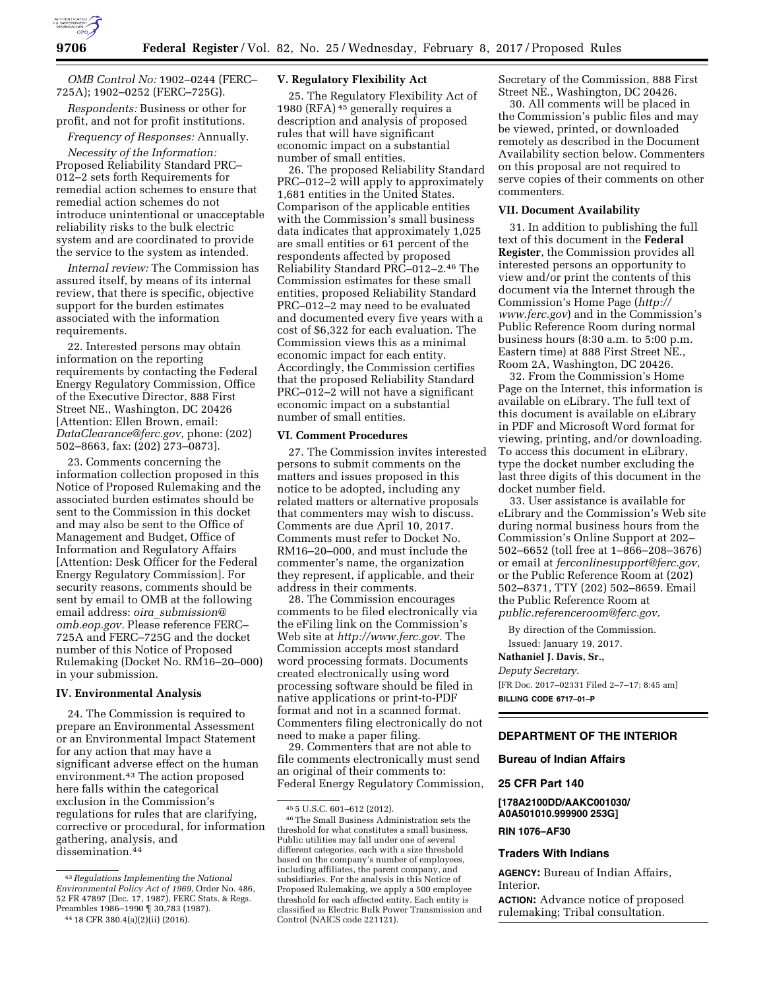

*OMB Control No:* 1902–0244 (FERC– 725A); 1902–0252 (FERC–725G).

*Respondents:* Business or other for profit, and not for profit institutions. *Frequency of Responses:* Annually.

*Necessity of the Information:*  Proposed Reliability Standard PRC– 012–2 sets forth Requirements for remedial action schemes to ensure that remedial action schemes do not introduce unintentional or unacceptable reliability risks to the bulk electric system and are coordinated to provide the service to the system as intended.

*Internal review:* The Commission has assured itself, by means of its internal review, that there is specific, objective support for the burden estimates associated with the information requirements.

22. Interested persons may obtain information on the reporting requirements by contacting the Federal Energy Regulatory Commission, Office of the Executive Director, 888 First Street NE., Washington, DC 20426 [Attention: Ellen Brown, email: *[DataClearance@ferc.gov,](mailto:DataClearance@ferc.gov)* phone: (202) 502–8663, fax: (202) 273–0873].

23. Comments concerning the information collection proposed in this Notice of Proposed Rulemaking and the associated burden estimates should be sent to the Commission in this docket and may also be sent to the Office of Management and Budget, Office of Information and Regulatory Affairs [Attention: Desk Officer for the Federal Energy Regulatory Commission]. For security reasons, comments should be sent by email to OMB at the following email address: *oira*\_*[submission@](mailto:oira_submission@omb.eop.gov) [omb.eop.gov.](mailto:oira_submission@omb.eop.gov)* Please reference FERC– 725A and FERC–725G and the docket number of this Notice of Proposed Rulemaking (Docket No. RM16–20–000) in your submission.

## **IV. Environmental Analysis**

24. The Commission is required to prepare an Environmental Assessment or an Environmental Impact Statement for any action that may have a significant adverse effect on the human environment.43 The action proposed here falls within the categorical exclusion in the Commission's regulations for rules that are clarifying, corrective or procedural, for information gathering, analysis, and dissemination.<sup>44</sup>

#### 44 18 CFR 380.4(a)(2)(ii) (2016).

#### **V. Regulatory Flexibility Act**

25. The Regulatory Flexibility Act of 1980 (RFA)  $45$  generally requires a description and analysis of proposed rules that will have significant economic impact on a substantial number of small entities.

26. The proposed Reliability Standard PRC–012–2 will apply to approximately 1,681 entities in the United States. Comparison of the applicable entities with the Commission's small business data indicates that approximately 1,025 are small entities or 61 percent of the respondents affected by proposed Reliability Standard PRC–012–2.46 The Commission estimates for these small entities, proposed Reliability Standard PRC–012–2 may need to be evaluated and documented every five years with a cost of \$6,322 for each evaluation. The Commission views this as a minimal economic impact for each entity. Accordingly, the Commission certifies that the proposed Reliability Standard PRC–012–2 will not have a significant economic impact on a substantial number of small entities.

#### **VI. Comment Procedures**

27. The Commission invites interested persons to submit comments on the matters and issues proposed in this notice to be adopted, including any related matters or alternative proposals that commenters may wish to discuss. Comments are due April 10, 2017. Comments must refer to Docket No. RM16–20–000, and must include the commenter's name, the organization they represent, if applicable, and their address in their comments.

28. The Commission encourages comments to be filed electronically via the eFiling link on the Commission's Web site at *[http://www.ferc.gov.](http://www.ferc.gov)* The Commission accepts most standard word processing formats. Documents created electronically using word processing software should be filed in native applications or print-to-PDF format and not in a scanned format. Commenters filing electronically do not need to make a paper filing.

29. Commenters that are not able to file comments electronically must send an original of their comments to: Federal Energy Regulatory Commission, Secretary of the Commission, 888 First Street NE., Washington, DC 20426.

30. All comments will be placed in the Commission's public files and may be viewed, printed, or downloaded remotely as described in the Document Availability section below. Commenters on this proposal are not required to serve copies of their comments on other commenters.

#### **VII. Document Availability**

31. In addition to publishing the full text of this document in the **Federal Register**, the Commission provides all interested persons an opportunity to view and/or print the contents of this document via the Internet through the Commission's Home Page (*[http://](http://www.ferc.gov) [www.ferc.gov](http://www.ferc.gov)*) and in the Commission's Public Reference Room during normal business hours (8:30 a.m. to 5:00 p.m. Eastern time) at 888 First Street NE., Room 2A, Washington, DC 20426.

32. From the Commission's Home Page on the Internet, this information is available on eLibrary. The full text of this document is available on eLibrary in PDF and Microsoft Word format for viewing, printing, and/or downloading. To access this document in eLibrary, type the docket number excluding the last three digits of this document in the docket number field.

33. User assistance is available for eLibrary and the Commission's Web site during normal business hours from the Commission's Online Support at 202– 502–6652 (toll free at 1–866–208–3676) or email at *[ferconlinesupport@ferc.gov,](mailto:ferconlinesupport@ferc.gov)*  or the Public Reference Room at (202) 502–8371, TTY (202) 502–8659. Email the Public Reference Room at *[public.referenceroom@ferc.gov.](mailto:public.referenceroom@ferc.gov)* 

By direction of the Commission. Issued: January 19, 2017.

**Nathaniel J. Davis, Sr.,** 

## *Deputy Secretary.*

[FR Doc. 2017–02331 Filed 2–7–17; 8:45 am] **BILLING CODE 6717–01–P** 

## **DEPARTMENT OF THE INTERIOR**

**Bureau of Indian Affairs** 

#### **25 CFR Part 140**

**[178A2100DD/AAKC001030/ A0A501010.999900 253G]** 

## **RIN 1076–AF30**

## **Traders With Indians**

**AGENCY:** Bureau of Indian Affairs, Interior.

**ACTION:** Advance notice of proposed rulemaking; Tribal consultation.

<sup>43</sup>*Regulations Implementing the National Environmental Policy Act of 1969,* Order No. 486, 52 FR 47897 (Dec. 17, 1987), FERC Stats. & Regs. Preambles 1986–1990 ¶ 30,783 (1987).

<sup>45</sup> 5 U.S.C. 601–612 (2012).

<sup>46</sup>The Small Business Administration sets the threshold for what constitutes a small business. Public utilities may fall under one of several different categories, each with a size threshold based on the company's number of employees, including affiliates, the parent company, and subsidiaries. For the analysis in this Notice of Proposed Rulemaking, we apply a 500 employee threshold for each affected entity. Each entity is classified as Electric Bulk Power Transmission and Control (NAICS code 221121).